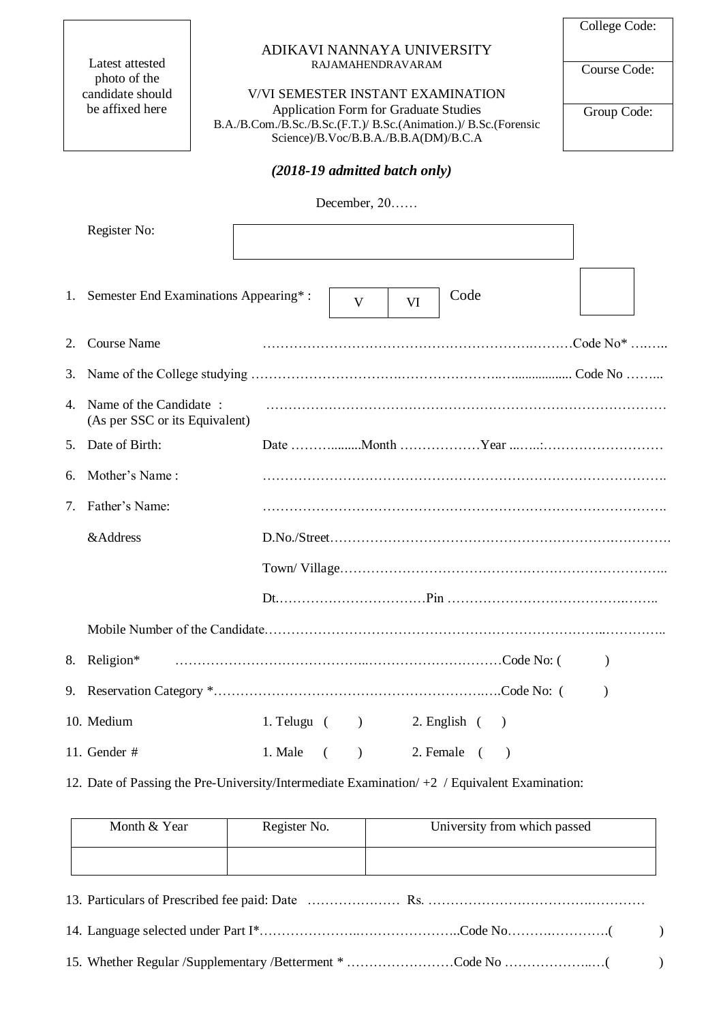Latest attested photo of the candidate should be affixed here

### ADIKAVI NANNAYA UNIVERSITY RAJAMAHENDRAVARAM

V/VI SEMESTER INSTANT EXAMINATION Application Form for Graduate Studies B.A./B.Com./B.Sc./B.Sc.(F.T.)/ B.Sc.(Animation.)/ B.Sc.(Forensic Science)/B.Voc/B.B.A./B.B.A(DM)/B.C.A

College Code: Course Code:

Group Code:

## *(2018-19 admitted batch only)*

December, 20……

|                | Register No:                                             |                     |           |                  |           |              |
|----------------|----------------------------------------------------------|---------------------|-----------|------------------|-----------|--------------|
| 1.             | Semester End Examinations Appearing*:                    |                     | V         | Code<br>VI       |           |              |
| 2.             | <b>Course Name</b>                                       |                     |           |                  |           |              |
| 3.             |                                                          |                     |           |                  |           |              |
| $\overline{4}$ | Name of the Candidate:<br>(As per SSC or its Equivalent) |                     |           |                  |           |              |
| 5.             | Date of Birth:                                           |                     |           |                  |           |              |
| 6.             | Mother's Name:                                           |                     |           |                  |           |              |
| 7.             | Father's Name:                                           |                     |           |                  |           |              |
|                | &Address                                                 |                     |           |                  |           | D.No./Street |
|                |                                                          |                     |           |                  |           |              |
|                |                                                          |                     |           |                  |           |              |
|                |                                                          |                     |           |                  |           |              |
| 8.             | Religion*                                                |                     |           |                  |           |              |
| 9.             |                                                          |                     |           |                  |           |              |
|                | 10. Medium                                               | 1. Telugu $($ )     |           | $2.$ English $($ | $\lambda$ |              |
|                | 11. Gender #                                             | 1. Male<br>$\left($ | $\lambda$ | 2. Female (      | $\lambda$ |              |

12. Date of Passing the Pre-University/Intermediate Examination/ +2 / Equivalent Examination:

| Month & Year | Register No. | University from which passed |
|--------------|--------------|------------------------------|
|              |              |                              |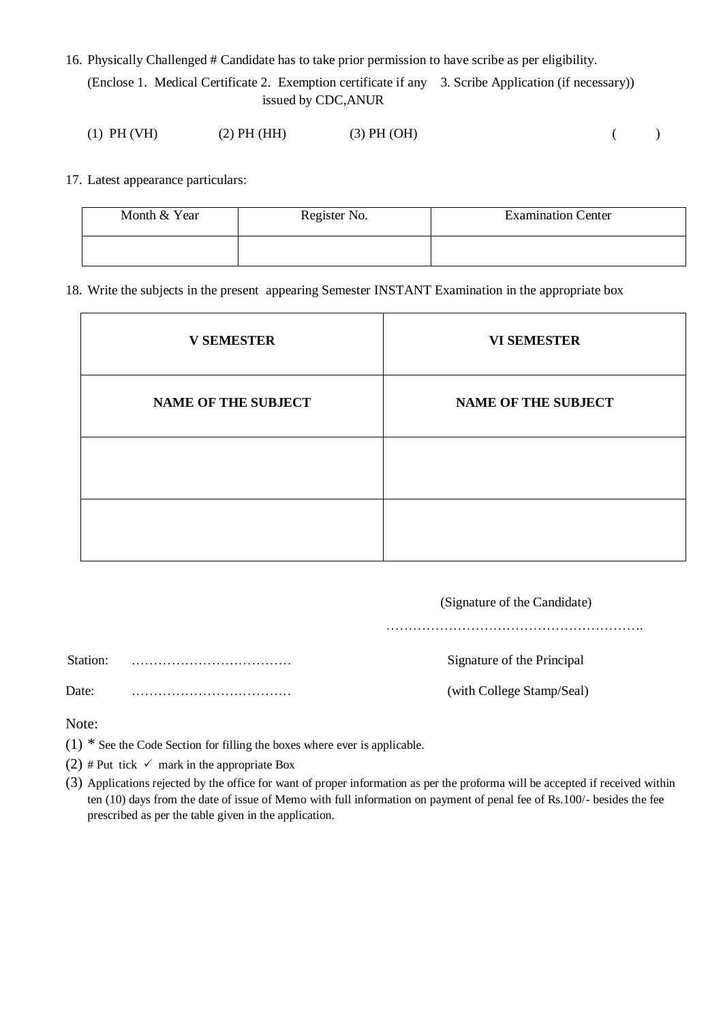16. Physically Challenged # Candidate has to take prior permission to have scribe as per eligibility.

(Enclose 1. Medical Certificate 2. Exemption certificate if any 3. Scribe Application (if necessary)) issued by CDC,ANUR

| $(1)$ PH $(VH)$ | (2) PH (HH) | $(3)$ PH $(OH)$ |  |  |
|-----------------|-------------|-----------------|--|--|
|                 |             |                 |  |  |

17. Latest appearance particulars:

| Month & Year | Register No. | <b>Examination Center</b> |
|--------------|--------------|---------------------------|
|              |              |                           |

18. Write the subjects in the present appearing Semester INSTANT Examination in the appropriate box

| <b>V SEMESTER</b>          | <b>VI SEMESTER</b>         |
|----------------------------|----------------------------|
| <b>NAME OF THE SUBJECT</b> | <b>NAME OF THE SUBJECT</b> |
|                            |                            |
|                            |                            |

|              | (Signature of the Candidate) |
|--------------|------------------------------|
|              |                              |
| Station:     | Signature of the Principal   |
| Date:        | (with College Stamp/Seal)    |
| $\mathbf{X}$ |                              |

Note:

- (1) \* See the Code Section for filling the boxes where ever is applicable.
- (2) # Put tick  $\checkmark$  mark in the appropriate Box
- (3) Applications rejected by the office for want of proper information as per the proforma will be accepted if received within ten (10) days from the date of issue of Memo with full information on payment of penal fee of Rs.100/- besides the fee prescribed as per the table given in the application.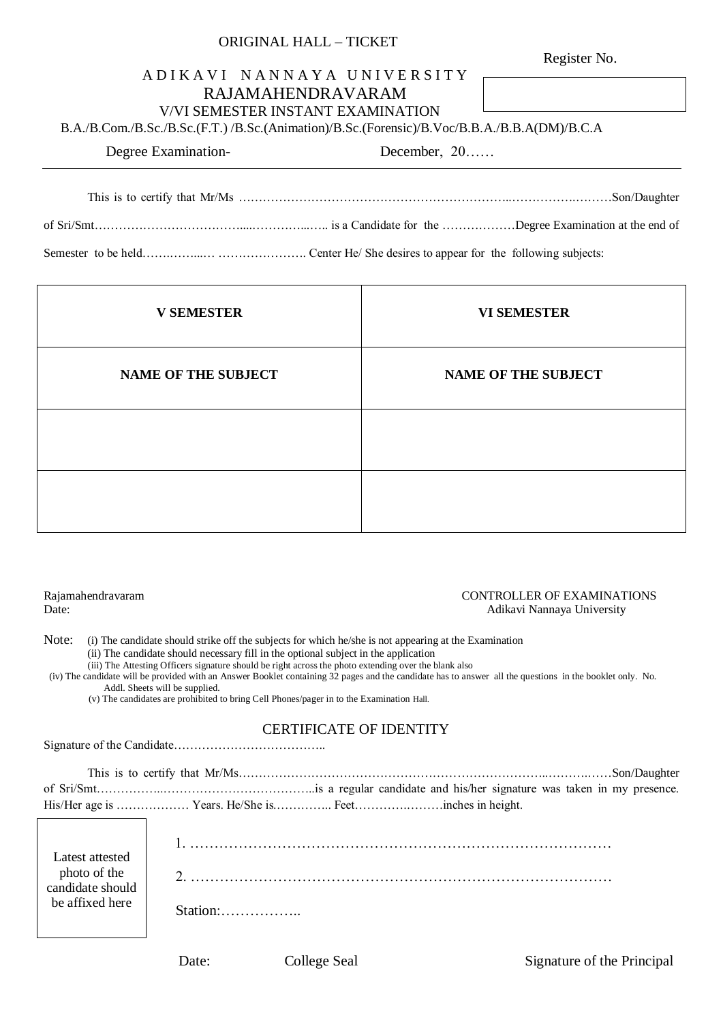| UNUHVAL HALL – HUNLI                                                                         |              |
|----------------------------------------------------------------------------------------------|--------------|
|                                                                                              | Register No. |
| ADIKAVI NANNAYA UNIVERSITY                                                                   |              |
| RAJAMAHENDRAVARAM                                                                            |              |
| <b>V/VI SEMESTER INSTANT EXAMINATION</b>                                                     |              |
| B.A./B.Com./B.Sc./B.Sc.(F.T.) /B.Sc.(Animation)/B.Sc.(Forensic)/B.Voc/B.B.A./B.B.A(DM)/B.C.A |              |
| Degree Examination-<br>December, $20$                                                        |              |
|                                                                                              |              |

of Sri/Smt………………………………....…………...….. is a Candidate for the ………………Degree Examination at the end of

This is to certify that Mr/Ms …………………………………………………………..…………….………Son/Daughter

Semester to be held……………………………………………………… Center He/ She desires to appear for the following subjects:

ORIGINAL HALL – TICKET

| <b>V SEMESTER</b>          | <b>VI SEMESTER</b>         |
|----------------------------|----------------------------|
| <b>NAME OF THE SUBJECT</b> | <b>NAME OF THE SUBJECT</b> |
|                            |                            |
|                            |                            |

#### Rajamahendravaram CONTROLLER OF EXAMINATIONS Date: Adikavi Nannaya University

Note: (i) The candidate should strike off the subjects for which he/she is not appearing at the Examination (ii) The candidate should necessary fill in the optional subject in the application

 (iii) The Attesting Officers signature should be right across the photo extending over the blank also (iv) The candidate will be provided with an Answer Booklet containing 32 pages and the candidate has to answer all the questions in the booklet only. No.

Addl. Sheets will be supplied.

(v) The candidates are prohibited to bring Cell Phones/pager in to the Examination Hall.

## CERTIFICATE OF IDENTITY

Signature of the Candidate………………………………..

| Latest attested                  |            |
|----------------------------------|------------|
| photo of the<br>candidate should | $\sqrt{2}$ |
| be affixed here                  |            |
|                                  |            |

Date: College Seal Signature of the Principal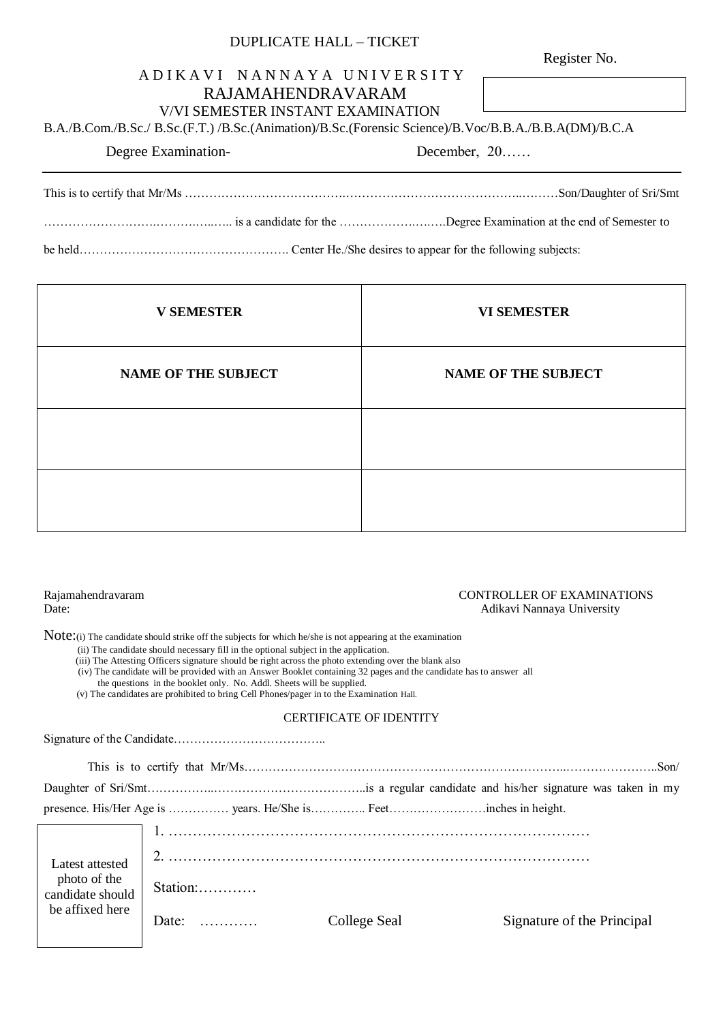## DUPLICATE HALL – TICKET

Register No.

## A D I K A V I N A N N A Y A U N I V E R S I T Y

## RAJAMAHENDRAVARAM V/VI SEMESTER INSTANT EXAMINATION

B.A./B.Com./B.Sc./ B.Sc.(F.T.) /B.Sc.(Animation)/B.Sc.(Forensic Science)/B.Voc/B.B.A./B.B.A(DM)/B.C.A

Degree Examination-<br>
December, 20……

This is to certify that Mr/Ms ………………………………….……………………………………..………Son/Daughter of Sri/Smt ……………………….……….…..….. is a candidate for the ……………….….….Degree Examination at the end of Semester to be held……………………………………………. Center He./She desires to appear for the following subjects:

| <b>V SEMESTER</b>          | <b>VI SEMESTER</b>         |
|----------------------------|----------------------------|
| <b>NAME OF THE SUBJECT</b> | <b>NAME OF THE SUBJECT</b> |
|                            |                            |
|                            |                            |

#### Rajamahendravaram CONTROLLER OF EXAMINATIONS Date: Adikavi Nannaya University

Note: (i) The candidate should strike off the subjects for which he/she is not appearing at the examination

- (ii) The candidate should necessary fill in the optional subject in the application.
- (iii) The Attesting Officers signature should be right across the photo extending over the blank also
- (iv) The candidate will be provided with an Answer Booklet containing 32 pages and the candidate has to answer all
	- the questions in the booklet only. No. Addl. Sheets will be supplied.
- (v) The candidates are prohibited to bring Cell Phones/pager in to the Examination Hall.

#### CERTIFICATE OF IDENTITY

Signature of the Candidate……………………………….. This is to certify that Mr/Ms……………………………………………………………………..…………………..Son/ Daughter of Sri/Smt……………..………………………………..is a regular candidate and his/her signature was taken in my presence. His/Her Age is …………… years. He/She is………….. Feet……………………inches in height. 1. …………………………………………………………………………… 2. …………………………………………………………………………… Station:………… Date: ………… College Seal Signature of the Principal Latest attested photo of the candidate should be affixed here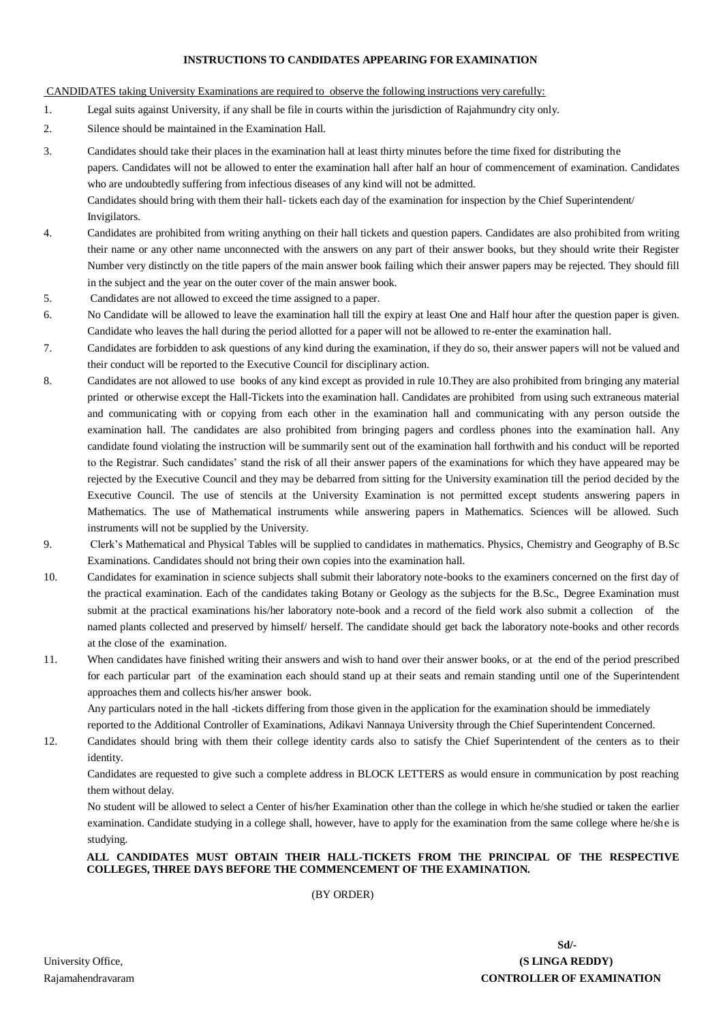#### **INSTRUCTIONS TO CANDIDATES APPEARING FOR EXAMINATION**

#### CANDIDATES taking University Examinations are required to observe the following instructions very carefully:

- 1. Legal suits against University, if any shall be file in courts within the jurisdiction of Rajahmundry city only.
- 2. Silence should be maintained in the Examination Hall.
- 3. Candidates should take their places in the examination hall at least thirty minutes before the time fixed for distributing the papers. Candidates will not be allowed to enter the examination hall after half an hour of commencement of examination. Candidates who are undoubtedly suffering from infectious diseases of any kind will not be admitted. Candidates should bring with them their hall- tickets each day of the examination for inspection by the Chief Superintendent/ Invigilators.
- 4. Candidates are prohibited from writing anything on their hall tickets and question papers. Candidates are also prohibited from writing their name or any other name unconnected with the answers on any part of their answer books, but they should write their Register Number very distinctly on the title papers of the main answer book failing which their answer papers may be rejected. They should fill in the subject and the year on the outer cover of the main answer book.
- 5. Candidates are not allowed to exceed the time assigned to a paper.
- 6. No Candidate will be allowed to leave the examination hall till the expiry at least One and Half hour after the question paper is given. Candidate who leaves the hall during the period allotted for a paper will not be allowed to re-enter the examination hall.
- 7. Candidates are forbidden to ask questions of any kind during the examination, if they do so, their answer papers will not be valued and their conduct will be reported to the Executive Council for disciplinary action.
- 8. Candidates are not allowed to use books of any kind except as provided in rule 10.They are also prohibited from bringing any material printed or otherwise except the Hall-Tickets into the examination hall. Candidates are prohibited from using such extraneous material and communicating with or copying from each other in the examination hall and communicating with any person outside the examination hall. The candidates are also prohibited from bringing pagers and cordless phones into the examination hall. Any candidate found violating the instruction will be summarily sent out of the examination hall forthwith and his conduct will be reported to the Registrar. Such candidates' stand the risk of all their answer papers of the examinations for which they have appeared may be rejected by the Executive Council and they may be debarred from sitting for the University examination till the period decided by the Executive Council. The use of stencils at the University Examination is not permitted except students answering papers in Mathematics. The use of Mathematical instruments while answering papers in Mathematics. Sciences will be allowed. Such instruments will not be supplied by the University.
- 9. Clerk's Mathematical and Physical Tables will be supplied to candidates in mathematics. Physics, Chemistry and Geography of B.Sc Examinations. Candidates should not bring their own copies into the examination hall.
- 10. Candidates for examination in science subjects shall submit their laboratory note-books to the examiners concerned on the first day of the practical examination. Each of the candidates taking Botany or Geology as the subjects for the B.Sc., Degree Examination must submit at the practical examinations his/her laboratory note-book and a record of the field work also submit a collection of the named plants collected and preserved by himself/ herself. The candidate should get back the laboratory note-books and other records at the close of the examination.
- 11. When candidates have finished writing their answers and wish to hand over their answer books, or at the end of the period prescribed for each particular part of the examination each should stand up at their seats and remain standing until one of the Superintendent approaches them and collects his/her answer book.

Any particulars noted in the hall -tickets differing from those given in the application for the examination should be immediately reported to the Additional Controller of Examinations, Adikavi Nannaya University through the Chief Superintendent Concerned.

12. Candidates should bring with them their college identity cards also to satisfy the Chief Superintendent of the centers as to their identity.

Candidates are requested to give such a complete address in BLOCK LETTERS as would ensure in communication by post reaching them without delay.

No student will be allowed to select a Center of his/her Examination other than the college in which he/she studied or taken the earlier examination. Candidate studying in a college shall, however, have to apply for the examination from the same college where he/she is studying.

### **ALL CANDIDATES MUST OBTAIN THEIR HALL-TICKETS FROM THE PRINCIPAL OF THE RESPECTIVE COLLEGES, THREE DAYS BEFORE THE COMMENCEMENT OF THE EXAMINATION.**

(BY ORDER)